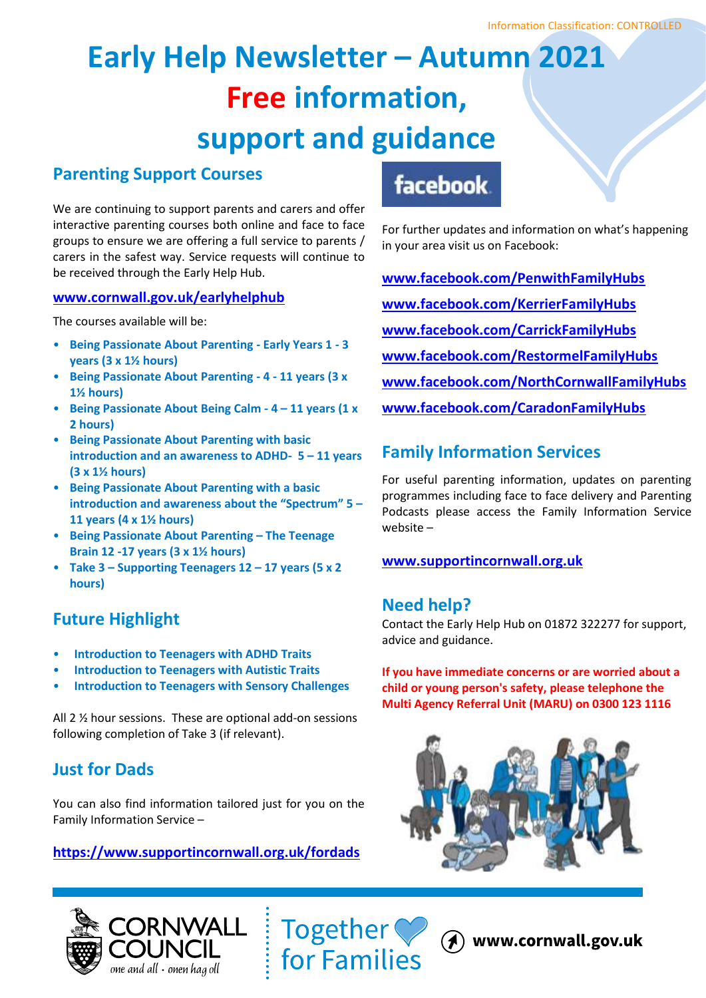# **Early Help Newsletter – Autumn 2021 Free information, support and guidance**

## **Parenting Support Courses**

We are continuing to support parents and carers and offer interactive parenting courses both online and face to face groups to ensure we are offering a full service to parents / carers in the safest way. Service requests will continue to be received through the Early Help Hub.

### **[www.cornwall.gov.uk/earlyhelphub](http://www.cornwall.gov.uk/earlyhelphub)**

The courses available will be:

- **Being Passionate About Parenting - Early Years 1 - 3 years (3 x 1½ hours)**
- **Being Passionate About Parenting - 4 - 11 years (3 x 1½ hours)**
- **Being Passionate About Being Calm - 4 – 11 years (1 x 2 hours)**
- **Being Passionate About Parenting with basic introduction and an awareness to ADHD- 5 – 11 years (3 x 1½ hours)**
- **Being Passionate About Parenting with a basic introduction and awareness about the "Spectrum" 5 – 11 years (4 x 1½ hours)**
- **Being Passionate About Parenting – The Teenage Brain 12 -17 years (3 x 1½ hours)**
- **Take 3 – Supporting Teenagers 12 – 17 years (5 x 2 hours)**

## **Future Highlight**

- **Introduction to Teenagers with ADHD Traits**
- **Introduction to Teenagers with Autistic Traits**
- **Introduction to Teenagers with Sensory Challenges**

All 2 ½ hour sessions. These are optional add-on sessions following completion of Take 3 (if relevant).

## **Just for Dads**

You can also find information tailored just for you on the Family Information Service –

## **<https://www.supportincornwall.org.uk/fordads>**

## **facebook**

For further updates and information on what's happening in your area visit us on Facebook:

**[www.facebook.com/PenwithFamilyHubs](http://www.facebook.com/PenwithFamilyHubs/) [www.facebook.com/KerrierFamilyHubs](http://www.facebook.com/KerrierFamilyHubs/) [www.facebook.com/CarrickFamilyHubs](http://www.facebook.com/CarrickFamilyHubs) [www.facebook.com/RestormelFamilyHubs](http://www.facebook.com/RestormelFamilyHubs) [www.facebook.com/NorthCornwallFamilyHubs](http://www.facebook.com/NorthCornwallFamilyHubs) [www.facebook.com/CaradonFamilyHubs](http://www.facebook.com/CaradonFamilyHubs)**

## **Family Information Services**

For useful parenting information, updates on parenting programmes including face to face delivery and Parenting Podcasts please access the Family Information Service website –

## **[www.supportincornwall.org.uk](http://www.supportincornwall.org.uk/)**

## **Need help?**

Contact the Early Help Hub on 01872 322277 for support, advice and guidance.

**If you have immediate concerns or are worried about a child or young person's safety, please telephone the Multi Agency Referral Unit (MARU) on 0300 123 1116**